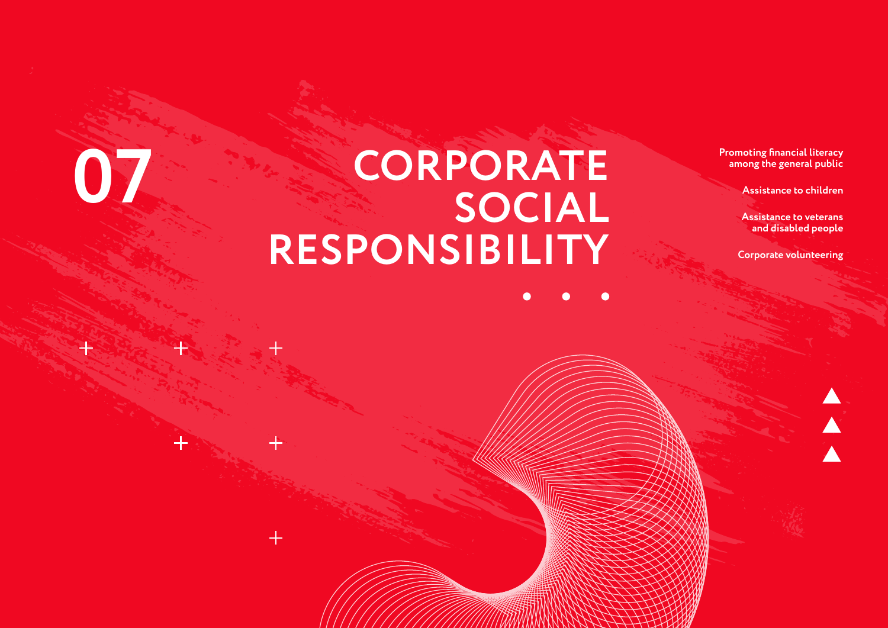# **CORPORATE**<br> **Promoting financial literacy**<br> **Promoting financial literacy**<br> **Promoting financial literacy**<br> **Promoting financial literacy**<br> **Assistance to children**<br> **Assistance to veterans SOCIAL RESPONSIBILITY**

**among the general public**

**Assistance to children**

**Assistance to veterans and disabled people**

**Corporate volunteering**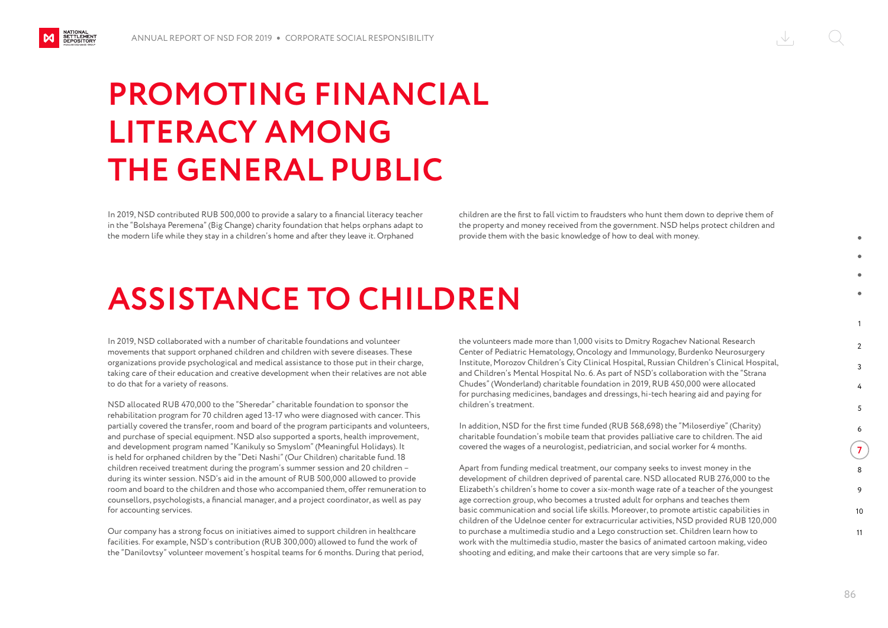NATIONAL<br>SETTLEMENT<br>DEPOSITORY

## **PROMOTING FINANCIAL LITERACY AMONG THE GENERAL PUBLIC**

In 2019, NSD contributed RUB 500,000 to provide a salary to a financial literacy teacher in the "Bolshaya Peremena" (Big Change) charity foundation that helps orphans adapt to the modern life while they stay in a children's home and after they leave it. Orphaned

children are the first to fall victim to fraudsters who hunt them down to deprive them of the property and money received from the government. NSD helps protect children and provide them with the basic knowledge of how to deal with money.

#### **ASSISTANCE TO CHILDREN**

In 2019, NSD collaborated with a number of charitable foundations and volunteer movements that support orphaned children and children with severe diseases. These organizations provide psychological and medical assistance to those put in their charge, taking care of their education and creative development when their relatives are not able to do that for a variety of reasons.

NSD allocated RUB 470,000 to the "Sheredar" charitable foundation to sponsor the rehabilitation program for 70 children aged 13-17 who were diagnosed with cancer. This partially covered the transfer, room and board of the program participants and volunteers, and purchase of special equipment. NSD also supported a sports, health improvement, and development program named "Kanikuly so Smyslom" (Meaningful Holidays). It is held for orphaned children by the "Deti Nashi" (Our Children) charitable fund. 18 children received treatment during the program's summer session and 20 children – during its winter session. NSD's aid in the amount of RUB 500,000 allowed to provide room and board to the children and those who accompanied them, offer remuneration to counsellors, psychologists, a financial manager, and a project coordinator, as well as pay for accounting services.

Our company has a strong focus on initiatives aimed to support children in healthcare facilities. For example, NSD's contribution (RUB 300,000) allowed to fund the work of the "Danilovtsy" volunteer movement's hospital teams for 6 months. During that period, the volunteers made more than 1,000 visits to Dmitry Rogachev National Research Center of Pediatric Hematology, Oncology and Immunology, Burdenko Neurosurgery Institute, Morozov Children's City Clinical Hospital, Russian Children's Clinical Hospital, and Children's Mental Hospital No. 6. As part of NSD's collaboration with the "Strana Chudes" (Wonderland) charitable foundation in 2019, RUB 450,000 were allocated for purchasing medicines, bandages and dressings, hi-tech hearing aid and paying for children's treatment.

In addition, NSD for the first time funded (RUB 568,698) the "Miloserdiye" (Charity) charitable foundation's mobile team that provides palliative care to children. The aid covered the wages of a neurologist, pediatrician, and social worker for 4 months.

Apart from funding medical treatment, our company seeks to invest money in the development of children deprived of parental care. NSD allocated RUB 276,000 to the Elizabeth's children's home to cover a six-month wage rate of a teacher of the youngest age correction group, who becomes a trusted adult for orphans and teaches them basic communication and social life skills. Moreover, to promote artistic capabilities in children of the Udelnoe center for extracurricular activities, NSD provided RUB 120,000 to purchase a multimedia studio and a Legо construction set. Children learn how to work with the multimedia studio, master the basics of animated cartoon making, video shooting and editing, and make their cartoons that are very simple so far.

1

 $\mathcal{L}$  $\overline{2}$ 

> 4 5 6

**7** 8

9 10 11